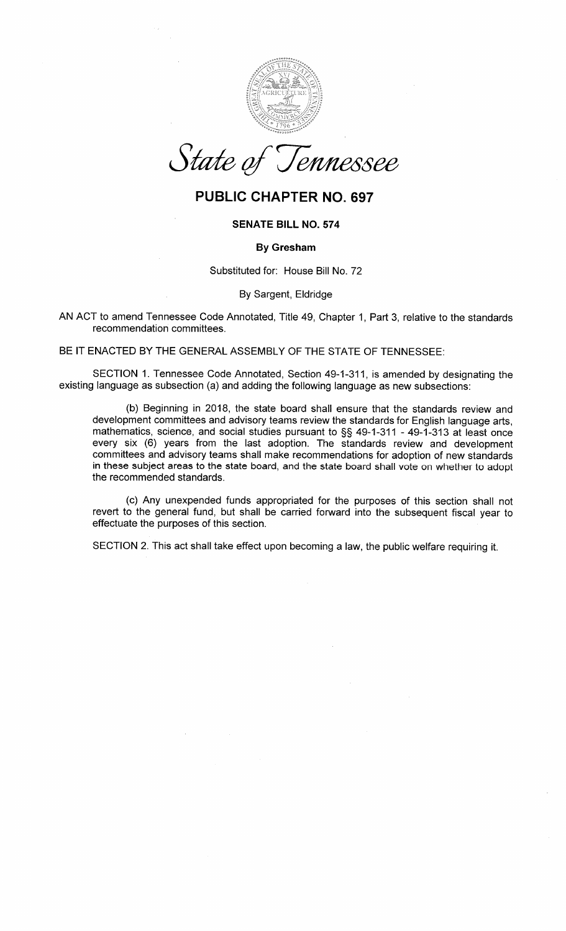

State of Tennessee

## PUBLIC CHAPTER NO. 697

## SENATE BILL NO.574

## By Gresham

Substituted for: House Bill No. 72

By Sargent, Eldridge

AN ACT to amend Tennessee Code Annotated, Title 49, Chapter 1, Part 3, relative to the standardsrecommendation committees.

BE IT ENACTED BY THE GENERAL ASSEMBLY OF THE STATE OF TENNESSEE:

SECTION 1. Tennessee Code Annotated, Section 49-1-311, is amended by designating theexisting language as subsection (a) and adding the following language as new subsections:

(b) Beginning in 2018, the state board shall ensure that the standards review and development committees and advisory teams review the standards for English language arts, mathematics, science, and social studies pursuant to \$\$ 49-1-311 - 49-1-313 at least once every six (6) years from the last adoption. The standards review and development committees and advisory teams shall make recommendations for adoption of new standards in these subject areas to the state board, and the state board shall vote on whether to adoptthe recommended standards.

(c) Any unexpended funds appropriated for the purposes of this section shall not revert to the general fund, but shall be carried forward into the subsequent fiscal year toeffectuate the purposes of this section.

SECTION 2. This act shall take effect upon becoming a law, the public welfare requiring it